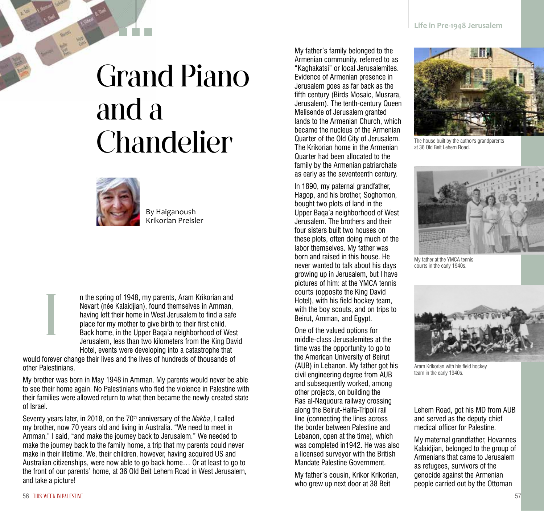## Grand Piano and a Chandelier



By Haiganoush Krikorian Preisler

n the spring of 1948, my parents, Aram Krikorian and Nevart (née Kalaidjian), found themselves in Amman, having left their home in West Jerusalem to find a safe place for my mother to give birth to their first child. Back home, in the Upper Baqa'a neighborhood of West Jerusalem, less than two kilometers from the King David Hotel, events were developing into a catastrophe that

would forever change their lives and the lives of hundreds of thousands of other Palestinians.

My brother was born in May 1948 in Amman. My parents would never be able to see their home again. No Palestinians who fled the violence in Palestine with their families were allowed return to what then became the newly created state of Israel.

Seventy years later, in 2018, on the 70<sup>th</sup> anniversary of the *Nakba*, I called my brother, now 70 years old and living in Australia. "We need to meet in Amman," I said, "and make the journey back to Jerusalem." We needed to make the journey back to the family home, a trip that my parents could never make in their lifetime. We, their children, however, having acquired US and Australian citizenships, were now able to go back home… Or at least to go to the front of our parents' home, at 36 Old Beit Lehem Road in West Jerusalem, and take a picture!

My father's family belonged to the Armenian community, referred to as "Kaghakatsi" or local Jerusalemites. Evidence of Armenian presence in Jerusalem goes as far back as the fifth century (Birds Mosaic, Musrara, Jerusalem). The tenth-century Queen Melisende of Jerusalem granted lands to the Armenian Church, which became the nucleus of the Armenian Quarter of the Old City of Jerusalem. The Krikorian home in the Armenian Quarter had been allocated to the family by the Armenian patriarchate as early as the seventeenth century.

In 1890, my paternal grandfather, Hagop, and his brother, Soghomon, bought two plots of land in the Upper Baqa'a neighborhood of West Jerusalem. The brothers and their four sisters built two houses on these plots, often doing much of the labor themselves. My father was born and raised in this house. He never wanted to talk about his days growing up in Jerusalem, but I have pictures of him: at the YMCA tennis courts (opposite the King David Hotel), with his field hockey team, with the boy scouts, and on trips to Beirut, Amman, and Egypt.

One of the valued options for middle-class Jerusalemites at the time was the opportunity to go to the American University of Beirut (AUB) in Lebanon. My father got his civil engineering degree from AUB and subsequently worked, among other projects, on building the Ras al-Naquoura railway crossing along the Beirut-Haifa-Tripoli rail line (connecting the lines across the border between Palestine and Lebanon, open at the time), which was completed in1942. He was also a licensed surveyor with the British Mandate Palestine Government.

My father's cousin, Krikor Krikorian, who grew up next door at 38 Beit



The house built by the author's grandparents at 36 Old Beit Lehem Road.



My father at the YMCA tennis courts in the early 1940s.



Aram Krikorian with his field hockey team in the early 1940s.

Lehem Road, got his MD from AUB and served as the deputy chief medical officer for Palestine.

My maternal grandfather, Hovannes Kalaidjian, belonged to the group of Armenians that came to Jerusalem as refugees, survivors of the genocide against the Armenian people carried out by the Ottoman

I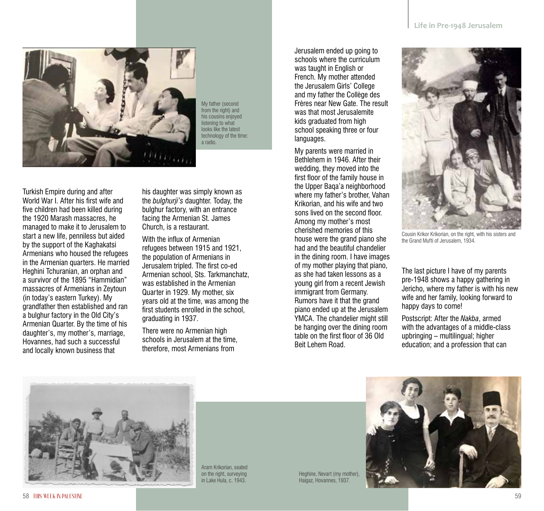

My father (second from the right) and his cousins enjoyed listening to what looks like the latest technology of the time: a radio.

Turkish Empire during and after World War I. After his first wife and five children had been killed during the 1920 Marash massacres, he managed to make it to Jerusalem to start a new life, penniless but aided by the support of the Kaghakatsi Armenians who housed the refugees in the Armenian quarters. He married Heghini Tchuranian, an orphan and a survivor of the 1895 "Hammidian" massacres of Armenians in Zeytoun (in today's eastern Turkey). My grandfather then established and ran a bulghur factory in the Old City's Armenian Quarter. By the time of his daughter's, my mother's, marriage, Hovannes, had such a successful and locally known business that

his daughter was simply known as the *bulghurji's* daughter. Today, the bulghur factory, with an entrance facing the Armenian St. James Church, is a restaurant.

With the influx of Armenian refugees between 1915 and 1921, the population of Armenians in Jerusalem tripled. The first co-ed Armenian school, Sts. Tarkmanchatz, was established in the Armenian Quarter in 1929. My mother, six years old at the time, was among the first students enrolled in the school, graduating in 1937.

There were no Armenian high schools in Jerusalem at the time, therefore, most Armenians from

Jerusalem ended up going to schools where the curriculum was taught in English or French. My mother attended the Jerusalem Girls' College and my father the Collège des Frères near New Gate. The result was that most Jerusalemite kids graduated from high school speaking three or four languages.

My parents were married in Bethlehem in 1946. After their wedding, they moved into the first floor of the family house in the Upper Baqa'a neighborhood where my father's brother, Vahan Krikorian, and his wife and two sons lived on the second floor. Among my mother's most cherished memories of this house were the grand piano she had and the beautiful chandelier in the dining room. I have images of my mother playing that piano, as she had taken lessons as a young girl from a recent Jewish immigrant from Germany. Rumors have it that the grand piano ended up at the Jerusalem YMCA. The chandelier might still be hanging over the dining room table on the first floor of 36 Old Beit Lehem Road.



Cousin Krikor Krikorian, on the right, with his sisters and the Grand Mufti of Jerusalem, 1934.

The last picture I have of my parents pre-1948 shows a happy gathering in Jericho, where my father is with his new wife and her family, looking forward to happy days to come!

Postscript: After the *Nakba*, armed with the advantages of a middle-class upbringing – multilingual; higher education; and a profession that can



Aram Krikorian, seated on the right, surveying in Lake Hula, c. 1943.

Heghine, Nevart (my mother), Haigaz, Hovannes, 1937.